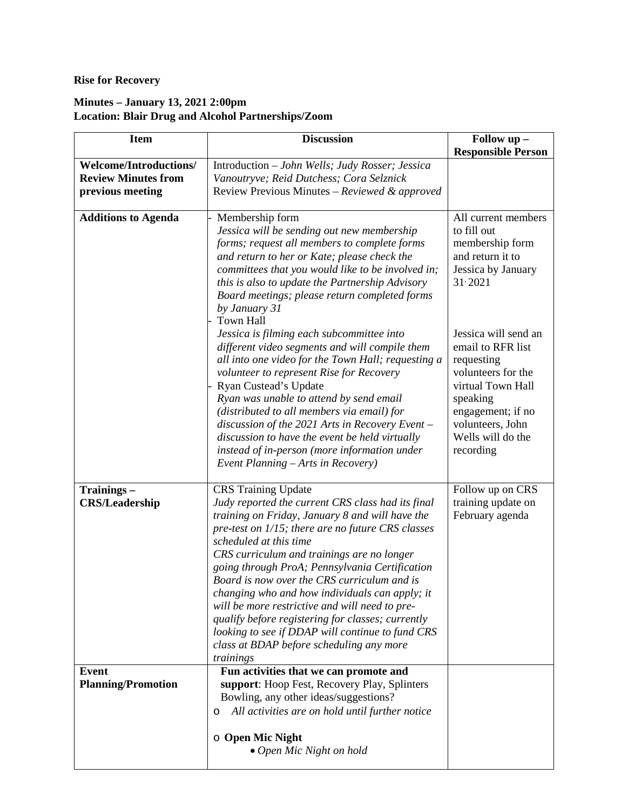## **Rise for Recovery**

## **Minutes – January 13, 2021 2:00pm Location: Blair Drug and Alcohol Partnerships/Zoom**

| <b>Item</b>                               | <b>Discussion</b>                                                                                                                                                                                                                                                                                                                                                                                                                                                                                                                                                                                                                      | Follow up -                                                                                                                                                                               |
|-------------------------------------------|----------------------------------------------------------------------------------------------------------------------------------------------------------------------------------------------------------------------------------------------------------------------------------------------------------------------------------------------------------------------------------------------------------------------------------------------------------------------------------------------------------------------------------------------------------------------------------------------------------------------------------------|-------------------------------------------------------------------------------------------------------------------------------------------------------------------------------------------|
|                                           |                                                                                                                                                                                                                                                                                                                                                                                                                                                                                                                                                                                                                                        | <b>Responsible Person</b>                                                                                                                                                                 |
| <b>Welcome/Introductions/</b>             | Introduction - John Wells; Judy Rosser; Jessica                                                                                                                                                                                                                                                                                                                                                                                                                                                                                                                                                                                        |                                                                                                                                                                                           |
| <b>Review Minutes from</b>                | Vanoutryve; Reid Dutchess; Cora Selznick                                                                                                                                                                                                                                                                                                                                                                                                                                                                                                                                                                                               |                                                                                                                                                                                           |
| previous meeting                          | Review Previous Minutes - Reviewed & approved                                                                                                                                                                                                                                                                                                                                                                                                                                                                                                                                                                                          |                                                                                                                                                                                           |
| <b>Additions to Agenda</b>                | Membership form<br>Jessica will be sending out new membership                                                                                                                                                                                                                                                                                                                                                                                                                                                                                                                                                                          | All current members<br>to fill out                                                                                                                                                        |
|                                           | forms; request all members to complete forms<br>and return to her or Kate; please check the<br>committees that you would like to be involved in;<br>this is also to update the Partnership Advisory<br>Board meetings; please return completed forms<br>by January 31<br><b>Town Hall</b>                                                                                                                                                                                                                                                                                                                                              | membership form<br>and return it to<br>Jessica by January<br>$31 \cdot 2021$                                                                                                              |
|                                           | Jessica is filming each subcommittee into<br>different video segments and will compile them<br>all into one video for the Town Hall; requesting a<br>volunteer to represent Rise for Recovery<br>Ryan Custead's Update<br>Ryan was unable to attend by send email<br>(distributed to all members via email) for<br>discussion of the 2021 Arts in Recovery Event -<br>discussion to have the event be held virtually<br>instead of in-person (more information under<br>Event Planning – Arts in Recovery)                                                                                                                             | Jessica will send an<br>email to RFR list<br>requesting<br>volunteers for the<br>virtual Town Hall<br>speaking<br>engagement; if no<br>volunteers, John<br>Wells will do the<br>recording |
| Trainings-<br><b>CRS/Leadership</b>       | <b>CRS</b> Training Update<br>Judy reported the current CRS class had its final<br>training on Friday, January 8 and will have the<br>pre-test on 1/15; there are no future CRS classes<br>scheduled at this time<br>CRS curriculum and trainings are no longer<br>going through ProA; Pennsylvania Certification<br>Board is now over the CRS curriculum and is<br>changing who and how individuals can apply; it<br>will be more restrictive and will need to pre-<br>qualify before registering for classes; currently<br>looking to see if DDAP will continue to fund CRS<br>class at BDAP before scheduling any more<br>trainings | Follow up on CRS<br>training update on<br>February agenda                                                                                                                                 |
| <b>Event</b><br><b>Planning/Promotion</b> | Fun activities that we can promote and<br>support: Hoop Fest, Recovery Play, Splinters<br>Bowling, any other ideas/suggestions?<br>All activities are on hold until further notice<br>O<br>o Open Mic Night<br>• Open Mic Night on hold                                                                                                                                                                                                                                                                                                                                                                                                |                                                                                                                                                                                           |